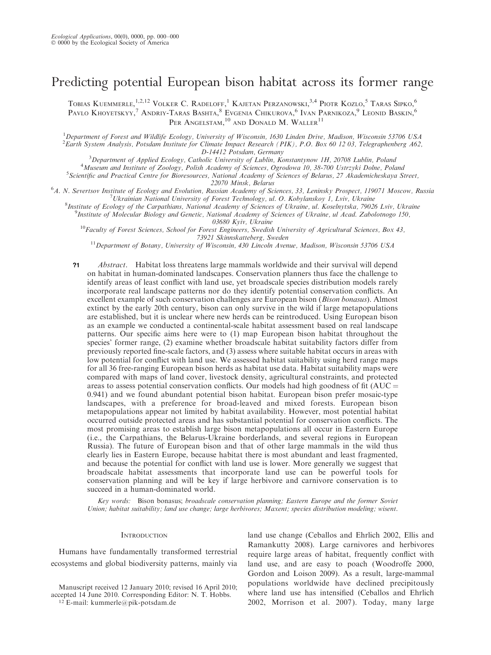# Predicting potential European bison habitat across its former range

TOBIAS KUEMMERLE,<sup>1,2,12</sup> VOLKER C. RADELOFF,<sup>1</sup> KAJETAN PERZANOWSKI,<sup>3,4</sup> PIOTR KOZLO,<sup>5</sup> TARAS SIPKO,<sup>6</sup> Pavlo Khoyetskyy,<sup>7</sup> Andriy-Taras Bashta,<sup>8</sup> Evgenia Chikurova,<sup>6</sup> Ivan Parnikoza,<sup>9</sup> Leonid Baskin,<sup>6</sup> PER ANGELSTAM, <sup>10</sup> AND DONALD M. WALLER<sup>11</sup>

<sup>1</sup>Department of Forest and Wildlife Ecology, University of Wisconsin, 1630 Linden Drive, Madison, Wisconsin 53706 USA 2 Earth System Analysis, Potsdam Institute for Climate Impact Research (PIK), P.O. Box 60 12 03, Telegraphenberg A62, D-14412 Potsdam, Germany<br><sup>3</sup> Department of Applied Ecclesy, Catholic University of Lublin, K

 $^{3}$ Department of Applied Ecology, Catholic University of Lublin, Konstantynow 1H, 20708 Lublin, Poland 4 Museum and Institute of Zoology, Polish Academy of Sciences, Ogradova 10, 38, 700 Ustrayki Dolne, Pola

<sup>4</sup>Museum and Institute of Zoology, Polish Academy of Sciences, Ogrodowa 10, 38-700 Ustrzyki Dolne, Poland

Scientific and Practical Centre for Bioresources, National Academy of Sciences of Belarus, 27 Akademicheskaya Street,

22070 Minsk, Belarus<br><sup>6</sup>4 N. Sovertsov Institute of Ecology and Evolution, Pussian Academy of So A. N. Severtsov Institute of Ecology and Evolution, Russian Academy of Sciences, 33, Leninsky Prospect, 119071 Moscow, Russia<br><sup>7</sup> Ukrainian National University of Forest Technology al. O. Kobylanskov J. Jyin, Ukraine Ukrainian National University of Forest Technology, ul. O. Kobylanskoy 1, Lviv, Ukraine

<sup>8</sup>Institute of Ecology of the Carpathians, National Academy of Sciences of Ukraine, ul. Koselnytska, 79026 Lviv, Ukraine

<sup>9</sup> Institute of Molecular Biology and Genetic, National Academy of Sciences of Ukraine, ul Acad. Zabolotnogo 150,

03680 Kyiv, Ukraine<br><sup>10</sup>Faculty of Forest Sciences, School for Forest Engineers, Swedish University of Agricultural Sciences, Box 43,

73921 Skinnskatteberg, Sweden <sup>11</sup>Department of Botany, University of Wisconsin, 430 Lincoln Avenue, Madison, Wisconsin 53706 USA

?1 Abstract. Habitat loss threatens large mammals worldwide and their survival will depend on habitat in human-dominated landscapes. Conservation planners thus face the challenge to identify areas of least conflict with land use, yet broadscale species distribution models rarely incorporate real landscape patterns nor do they identify potential conservation conflicts. An excellent example of such conservation challenges are European bison (Bison bonasus). Almost extinct by the early 20th century, bison can only survive in the wild if large metapopulations are established, but it is unclear where new herds can be reintroduced. Using European bison as an example we conducted a continental-scale habitat assessment based on real landscape patterns. Our specific aims here were to (1) map European bison habitat throughout the species' former range, (2) examine whether broadscale habitat suitability factors differ from previously reported fine-scale factors, and (3) assess where suitable habitat occurs in areas with low potential for conflict with land use. We assessed habitat suitability using herd range maps for all 36 free-ranging European bison herds as habitat use data. Habitat suitability maps were compared with maps of land cover, livestock density, agricultural constraints, and protected areas to assess potential conservation conflicts. Our models had high goodness of fit ( $AUC =$ 0.941) and we found abundant potential bison habitat. European bison prefer mosaic-type landscapes, with a preference for broad-leaved and mixed forests. European bison metapopulations appear not limited by habitat availability. However, most potential habitat occurred outside protected areas and has substantial potential for conservation conflicts. The most promising areas to establish large bison metapopulations all occur in Eastern Europe (i.e., the Carpathians, the Belarus-Ukraine borderlands, and several regions in European Russia). The future of European bison and that of other large mammals in the wild thus clearly lies in Eastern Europe, because habitat there is most abundant and least fragmented, and because the potential for conflict with land use is lower. More generally we suggest that broadscale habitat assessments that incorporate land use can be powerful tools for conservation planning and will be key if large herbivore and carnivore conservation is to succeed in a human-dominated world.

Key words: Bison bonasus; broadscale conservation planning; Eastern Europe and the former Soviet Union; habitat suitability; land use change; large herbivores; Maxent; species distribution modeling; wisent.

#### **INTRODUCTION**

Humans have fundamentally transformed terrestrial ecosystems and global biodiversity patterns, mainly via

Manuscript received 12 January 2010; revised 16 April 2010; accepted 14 June 2010. Corresponding Editor: N. T. Hobbs.

<sup>12</sup> E-mail: kummerle@pik-potsdam.de

land use change (Ceballos and Ehrlich 2002, Ellis and Ramankutty 2008). Large carnivores and herbivores require large areas of habitat, frequently conflict with land use, and are easy to poach (Woodroffe 2000, Gordon and Loison 2009). As a result, large-mammal populations worldwide have declined precipitously where land use has intensified (Ceballos and Ehrlich 2002, Morrison et al. 2007). Today, many large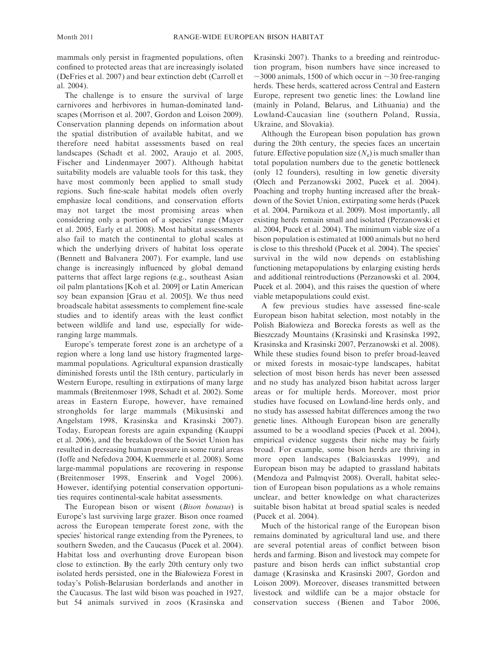mammals only persist in fragmented populations, often confined to protected areas that are increasingly isolated (DeFries et al. 2007) and bear extinction debt (Carroll et al. 2004).

The challenge is to ensure the survival of large carnivores and herbivores in human-dominated landscapes (Morrison et al. 2007, Gordon and Loison 2009). Conservation planning depends on information about the spatial distribution of available habitat, and we therefore need habitat assessments based on real landscapes (Schadt et al. 2002, Araujo et al. 2005, Fischer and Lindenmayer 2007). Although habitat suitability models are valuable tools for this task, they have most commonly been applied to small study regions. Such fine-scale habitat models often overly emphasize local conditions, and conservation efforts may not target the most promising areas when considering only a portion of a species' range (Mayer et al. 2005, Early et al. 2008). Most habitat assessments also fail to match the continental to global scales at which the underlying drivers of habitat loss operate (Bennett and Balvanera 2007). For example, land use change is increasingly influenced by global demand patterns that affect large regions (e.g., southeast Asian oil palm plantations [Koh et al. 2009] or Latin American soy bean expansion [Grau et al. 2005]). We thus need broadscale habitat assessments to complement fine-scale studies and to identify areas with the least conflict between wildlife and land use, especially for wideranging large mammals.

Europe's temperate forest zone is an archetype of a region where a long land use history fragmented largemammal populations. Agricultural expansion drastically diminished forests until the 18th century, particularly in Western Europe, resulting in extirpations of many large mammals (Breitenmoser 1998, Schadt et al. 2002). Some areas in Eastern Europe, however, have remained strongholds for large mammals (Mikusinski and Angelstam 1998, Krasinska and Krasinski 2007). Today, European forests are again expanding (Kauppi et al. 2006), and the breakdown of the Soviet Union has resulted in decreasing human pressure in some rural areas (Ioffe and Nefedova 2004, Kuemmerle et al. 2008). Some large-mammal populations are recovering in response (Breitenmoser 1998, Enserink and Vogel 2006). However, identifying potential conservation opportunities requires continental-scale habitat assessments.

The European bison or wisent (Bison bonasus) is Europe's last surviving large grazer. Bison once roamed across the European temperate forest zone, with the species' historical range extending from the Pyrenees, to southern Sweden, and the Caucasus (Pucek et al. 2004). Habitat loss and overhunting drove European bison close to extinction. By the early 20th century only two isolated herds persisted, one in the Białowieza Forest in today's Polish-Belarusian borderlands and another in the Caucasus. The last wild bison was poached in 1927, but 54 animals survived in zoos (Krasinska and Krasinski 2007). Thanks to a breeding and reintroduction program, bison numbers have since increased to  $\sim$ 3000 animals, 1500 of which occur in  $\sim$ 30 free-ranging herds. These herds, scattered across Central and Eastern Europe, represent two genetic lines: the Lowland line (mainly in Poland, Belarus, and Lithuania) and the Lowland-Caucasian line (southern Poland, Russia, Ukraine, and Slovakia).

Although the European bison population has grown during the 20th century, the species faces an uncertain future. Effective population size  $(N_e)$  is much smaller than total population numbers due to the genetic bottleneck (only 12 founders), resulting in low genetic diversity (Olech and Perzanowski 2002, Pucek et al. 2004). Poaching and trophy hunting increased after the breakdown of the Soviet Union, extirpating some herds (Pucek et al. 2004, Parnikoza et al. 2009). Most importantly, all existing herds remain small and isolated (Perzanowski et al. 2004, Pucek et al. 2004). The minimum viable size of a bison population is estimated at 1000 animals but no herd is close to this threshold (Pucek et al. 2004). The species' survival in the wild now depends on establishing functioning metapopulations by enlarging existing herds and additional reintroductions (Perzanowski et al. 2004, Pucek et al. 2004), and this raises the question of where viable metapopulations could exist.

A few previous studies have assessed fine-scale European bison habitat selection, most notably in the Polish Białowieza and Borecka forests as well as the Bieszczady Mountains (Krasinski and Krasinska 1992, Krasinska and Krasinski 2007, Perzanowski et al. 2008). While these studies found bison to prefer broad-leaved or mixed forests in mosaic-type landscapes, habitat selection of most bison herds has never been assessed and no study has analyzed bison habitat across larger areas or for multiple herds. Moreover, most prior studies have focused on Lowland-line herds only, and no study has assessed habitat differences among the two genetic lines. Although European bison are generally assumed to be a woodland species (Pucek et al. 2004), empirical evidence suggests their niche may be fairly broad. For example, some bison herds are thriving in more open landscapes (Balciauskas 1999), and European bison may be adapted to grassland habitats (Mendoza and Palmqvist 2008). Overall, habitat selection of European bison populations as a whole remains unclear, and better knowledge on what characterizes suitable bison habitat at broad spatial scales is needed (Pucek et al. 2004).

Much of the historical range of the European bison remains dominated by agricultural land use, and there are several potential areas of conflict between bison herds and farming. Bison and livestock may compete for pasture and bison herds can inflict substantial crop damage (Krasinska and Krasinski 2007, Gordon and Loison 2009). Moreover, diseases transmitted between livestock and wildlife can be a major obstacle for conservation success (Bienen and Tabor 2006,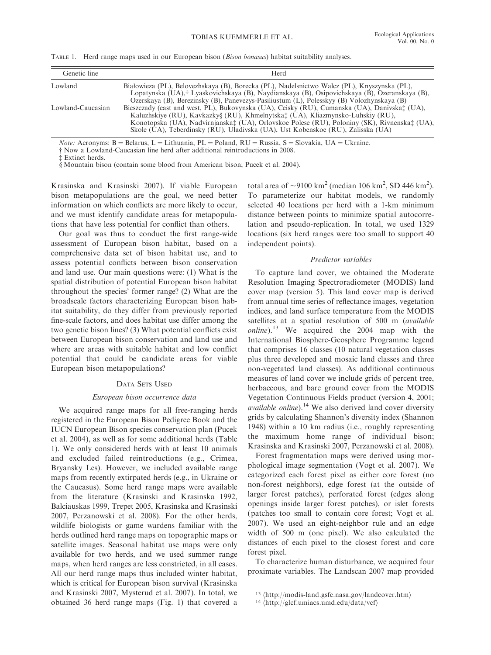TABLE 1. Herd range maps used in our European bison (Bison bonasus) habitat suitability analyses.

| Genetic line      | Herd                                                                                                                                                                                                                                                                                                                                                                                  |
|-------------------|---------------------------------------------------------------------------------------------------------------------------------------------------------------------------------------------------------------------------------------------------------------------------------------------------------------------------------------------------------------------------------------|
| Lowland           | Białowieza (PL), Belovezhskaya (B), Borecka (PL), Nadelsnictwo Walcz (PL), Knyszynska (PL),<br>Lopatynska (UA),† Lyaskovichskaya (B), Naydianskaya (B), Osipovichskaya (B), Ozeranskaya (B),<br>Ozerskaya (B), Berezinsky (B), Panevezys-Pasiliustum (L), Polesskyy (B) Volozhynskaya (B)                                                                                             |
| Lowland-Caucasian | Bieszczady (east and west, PL), Bukovynska (UA), Ceisky (RU), Cumanska (UA), Danivska‡ (UA),<br>Kaluzhskiye (RU), Kavkazky§ (RU), Khmelnytska‡ (UA), Kliazmynsko-Luhskiy (RU),<br>Konotopska (UA), Nadvirnjanska $\ddagger$ (UA), Orlovskoe Polese (RU), Poloniny (SK), Rivnenska $\ddagger$ (UA),<br>Skole (UA), Teberdinsky (RU), Uladivska (UA), Ust Kobenskoe (RU), Zalisska (UA) |

*Note:* Acronyms:  $B =$  Belarus,  $L =$  Lithuania,  $PL =$  Poland,  $RU =$  Russia,  $S =$  Slovakia,  $UA =$  Ukraine.

- Now a Lowland-Caucasian line herd after additional reintroductions in 2008.

Extinct herds.

§ Mountain bison (contain some blood from American bison; Pucek et al. 2004).

Krasinska and Krasinski 2007). If viable European bison metapopulations are the goal, we need better information on which conflicts are more likely to occur, and we must identify candidate areas for metapopulations that have less potential for conflict than others.

Our goal was thus to conduct the first range-wide assessment of European bison habitat, based on a comprehensive data set of bison habitat use, and to assess potential conflicts between bison conservation and land use. Our main questions were: (1) What is the spatial distribution of potential European bison habitat throughout the species' former range? (2) What are the broadscale factors characterizing European bison habitat suitability, do they differ from previously reported fine-scale factors, and does habitat use differ among the two genetic bison lines? (3) What potential conflicts exist between European bison conservation and land use and where are areas with suitable habitat and low conflict potential that could be candidate areas for viable European bison metapopulations?

#### DATA SETS USED

## European bison occurrence data

We acquired range maps for all free-ranging herds registered in the European Bison Pedigree Book and the IUCN European Bison species conservation plan (Pucek et al. 2004), as well as for some additional herds (Table 1). We only considered herds with at least 10 animals and excluded failed reintroductions (e.g., Crimea, Bryansky Les). However, we included available range maps from recently extirpated herds (e.g., in Ukraine or the Caucasus). Some herd range maps were available from the literature (Krasinski and Krasinska 1992, Balciauskas 1999, Trepet 2005, Krasinska and Krasinski 2007, Perzanowski et al. 2008). For the other herds, wildlife biologists or game wardens familiar with the herds outlined herd range maps on topographic maps or satellite images. Seasonal habitat use maps were only available for two herds, and we used summer range maps, when herd ranges are less constricted, in all cases. All our herd range maps thus included winter habitat, which is critical for European bison survival (Krasinska and Krasinski 2007, Mysterud et al. 2007). In total, we obtained 36 herd range maps (Fig. 1) that covered a

total area of  $\sim$ 9100 km<sup>2</sup> (median 106 km<sup>2</sup>, SD 446 km<sup>2</sup>). To parameterize our habitat models, we randomly selected 40 locations per herd with a 1-km minimum distance between points to minimize spatial autocorrelation and pseudo-replication. In total, we used 1329 locations (six herd ranges were too small to support 40 independent points).

# Predictor variables

To capture land cover, we obtained the Moderate Resolution Imaging Spectroradiometer (MODIS) land cover map (version 5). This land cover map is derived from annual time series of reflectance images, vegetation indices, and land surface temperature from the MODIS satellites at a spatial resolution of 500 m (*available online*).<sup>13</sup> We acquired the 2004 map with the International Biosphere-Geosphere Programme legend that comprises 16 classes (10 natural vegetation classes plus three developed and mosaic land classes and three non-vegetated land classes). As additional continuous measures of land cover we include grids of percent tree, herbaceous, and bare ground cover from the MODIS Vegetation Continuous Fields product (version 4, 2001; available online). $^{14}$  We also derived land cover diversity grids by calculating Shannon's diversity index (Shannon 1948) within a 10 km radius (i.e., roughly representing the maximum home range of individual bison; Krasinska and Krasinski 2007, Perzanowski et al. 2008).

Forest fragmentation maps were derived using morphological image segmentation (Vogt et al. 2007). We categorized each forest pixel as either core forest (no non-forest neighbors), edge forest (at the outside of larger forest patches), perforated forest (edges along openings inside larger forest patches), or islet forests (patches too small to contain core forest; Vogt et al. 2007). We used an eight-neighbor rule and an edge width of 500 m (one pixel). We also calculated the distances of each pixel to the closest forest and core forest pixel.

To characterize human disturbance, we acquired four proximate variables. The Landscan 2007 map provided

<sup>&</sup>lt;sup>13</sup> (http://modis-land.gsfc.nasa.gov/landcover.htm)

<sup>14</sup> hhttp://glcf.umiacs.umd.edu/data/vcfi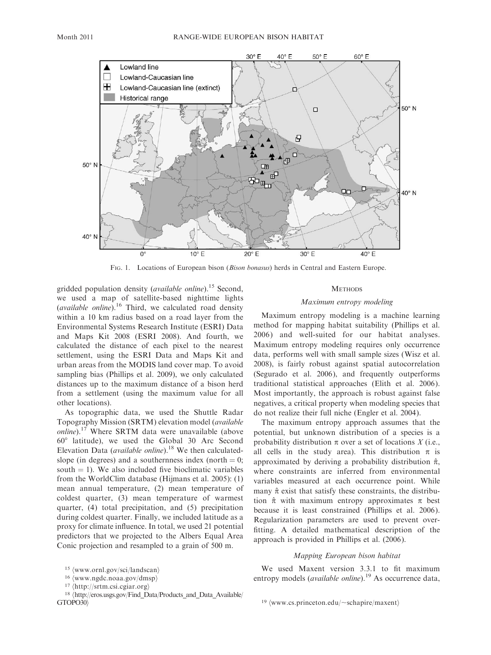

FIG. 1. Locations of European bison (Bison bonasus) herds in Central and Eastern Europe.

gridded population density (*available online*).<sup>15</sup> Second, we used a map of satellite-based nighttime lights (*available online*).<sup>16</sup> Third, we calculated road density within a 10 km radius based on a road layer from the Environmental Systems Research Institute (ESRI) Data and Maps Kit 2008 (ESRI 2008). And fourth, we calculated the distance of each pixel to the nearest settlement, using the ESRI Data and Maps Kit and urban areas from the MODIS land cover map. To avoid sampling bias (Phillips et al. 2009), we only calculated distances up to the maximum distance of a bison herd from a settlement (using the maximum value for all other locations).

As topographic data, we used the Shuttle Radar Topography Mission (SRTM) elevation model (available  $online$ ).<sup>17</sup> Where SRTM data were unavailable (above  $60^\circ$  latitude), we used the Global 30 Arc Second Elevation Data (*available online*).<sup>18</sup> We then calculatedslope (in degrees) and a southernness index (north  $= 0$ ; south  $= 1$ ). We also included five bioclimatic variables from the WorldClim database (Hijmans et al. 2005): (1) mean annual temperature, (2) mean temperature of coldest quarter, (3) mean temperature of warmest quarter, (4) total precipitation, and (5) precipitation during coldest quarter. Finally, we included latitude as a proxy for climate influence. In total, we used 21 potential predictors that we projected to the Albers Equal Area Conic projection and resampled to a grain of 500 m.

### **METHODS**

#### Maximum entropy modeling

Maximum entropy modeling is a machine learning method for mapping habitat suitability (Phillips et al. 2006) and well-suited for our habitat analyses. Maximum entropy modeling requires only occurrence data, performs well with small sample sizes (Wisz et al. 2008), is fairly robust against spatial autocorrelation (Segurado et al. 2006), and frequently outperforms traditional statistical approaches (Elith et al. 2006). Most importantly, the approach is robust against false negatives, a critical property when modeling species that do not realize their full niche (Engler et al. 2004).

The maximum entropy approach assumes that the potential, but unknown distribution of a species is a probability distribution  $\pi$  over a set of locations X (i.e., all cells in the study area). This distribution  $\pi$  is approximated by deriving a probability distribution  $\hat{\pi}$ , where constraints are inferred from environmental variables measured at each occurrence point. While many  $\hat{\pi}$  exist that satisfy these constraints, the distribution  $\hat{\pi}$  with maximum entropy approximates  $\pi$  best because it is least constrained (Phillips et al. 2006). Regularization parameters are used to prevent overfitting. A detailed mathematical description of the approach is provided in Phillips et al. (2006).

## Mapping European bison habitat

We used Maxent version 3.3.1 to fit maximum entropy models (*available online*).<sup>19</sup> As occurrence data,

 $15 \langle$ www.ornl.gov/sci/landscan $\rangle$ 

 $16 \langle$ www.ngdc.noaa.gov/dmsp $\rangle$ 

<sup>&</sup>lt;sup>17</sup> (http://srtm.csi.cgiar.org)

<sup>&</sup>lt;sup>18</sup> (http://eros.usgs.gov/Find\_Data/Products\_and\_Data\_Available/  $GTOPO30$  19 (www.cs.princeton.edu/~schapire/maxent)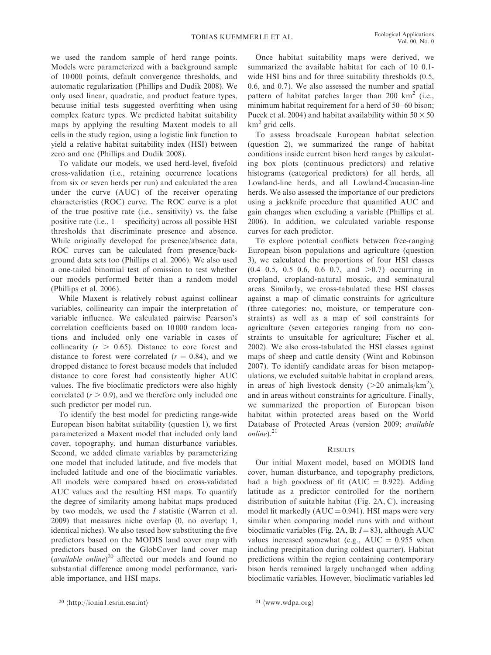we used the random sample of herd range points. Models were parameterized with a background sample of 10 000 points, default convergence thresholds, and automatic regularization (Phillips and Dudik 2008). We only used linear, quadratic, and product feature types, because initial tests suggested overfitting when using complex feature types. We predicted habitat suitability maps by applying the resulting Maxent models to all cells in the study region, using a logistic link function to yield a relative habitat suitability index (HSI) between zero and one (Phillips and Dudik 2008).

To validate our models, we used herd-level, fivefold cross-validation (i.e., retaining occurrence locations from six or seven herds per run) and calculated the area under the curve (AUC) of the receiver operating characteristics (ROC) curve. The ROC curve is a plot of the true positive rate (i.e., sensitivity) vs. the false positive rate (i.e., 1 – specificity) across all possible HSI thresholds that discriminate presence and absence. While originally developed for presence/absence data, ROC curves can be calculated from presence/background data sets too (Phillips et al. 2006). We also used a one-tailed binomial test of omission to test whether our models performed better than a random model (Phillips et al. 2006).

While Maxent is relatively robust against collinear variables, collinearity can impair the interpretation of variable influence. We calculated pairwise Pearson's correlation coefficients based on 10 000 random locations and included only one variable in cases of collinearity  $(r > 0.65)$ . Distance to core forest and distance to forest were correlated  $(r = 0.84)$ , and we dropped distance to forest because models that included distance to core forest had consistently higher AUC values. The five bioclimatic predictors were also highly correlated ( $r > 0.9$ ), and we therefore only included one such predictor per model run.

To identify the best model for predicting range-wide European bison habitat suitability (question 1), we first parameterized a Maxent model that included only land cover, topography, and human disturbance variables. Second, we added climate variables by parameterizing one model that included latitude, and five models that included latitude and one of the bioclimatic variables. All models were compared based on cross-validated AUC values and the resulting HSI maps. To quantify the degree of similarity among habitat maps produced by two models, we used the I statistic (Warren et al. 2009) that measures niche overlap (0, no overlap; 1, identical niches). We also tested how substituting the five predictors based on the MODIS land cover map with predictors based on the GlobCover land cover map  $(available \ online)^{20}$  affected our models and found no substantial difference among model performance, variable importance, and HSI maps.

Once habitat suitability maps were derived, we summarized the available habitat for each of 10 0.1 wide HSI bins and for three suitability thresholds (0.5, 0.6, and 0.7). We also assessed the number and spatial pattern of habitat patches larger than  $200 \text{ km}^2$  (i.e., minimum habitat requirement for a herd of 50–60 bison; Pucek et al. 2004) and habitat availability within  $50 \times 50$  $km<sup>2</sup>$  grid cells.

To assess broadscale European habitat selection (question 2), we summarized the range of habitat conditions inside current bison herd ranges by calculating box plots (continuous predictors) and relative histograms (categorical predictors) for all herds, all Lowland-line herds, and all Lowland-Caucasian-line herds. We also assessed the importance of our predictors using a jackknife procedure that quantified AUC and gain changes when excluding a variable (Phillips et al. 2006). In addition, we calculated variable response curves for each predictor.

To explore potential conflicts between free-ranging European bison populations and agriculture (question 3), we calculated the proportions of four HSI classes  $(0.4-0.5, 0.5-0.6, 0.6-0.7, and >0.7)$  occurring in cropland, cropland-natural mosaic, and seminatural areas. Similarly, we cross-tabulated these HSI classes against a map of climatic constraints for agriculture (three categories: no, moisture, or temperature constraints) as well as a map of soil constraints for agriculture (seven categories ranging from no constraints to unsuitable for agriculture; Fischer et al. 2002). We also cross-tabulated the HSI classes against maps of sheep and cattle density (Wint and Robinson 2007). To identify candidate areas for bison metapopulations, we excluded suitable habitat in cropland areas, in areas of high livestock density ( $>$ 20 animals/km<sup>2</sup>), and in areas without constraints for agriculture. Finally, we summarized the proportion of European bison habitat within protected areas based on the World Database of Protected Areas (version 2009; available  $online$ ). $21$ 

#### **RESULTS**

Our initial Maxent model, based on MODIS land cover, human disturbance, and topography predictors, had a high goodness of fit  $(AUC = 0.922)$ . Adding latitude as a predictor controlled for the northern distribution of suitable habitat (Fig. 2A, C), increasing model fit markedly  $(AUC = 0.941)$ . HSI maps were very similar when comparing model runs with and without bioclimatic variables (Fig. 2A, B;  $I = 83$ ), although AUC values increased somewhat (e.g.,  $AUC = 0.955$  when including precipitation during coldest quarter). Habitat predictions within the region containing contemporary bison herds remained largely unchanged when adding bioclimatic variables. However, bioclimatic variables led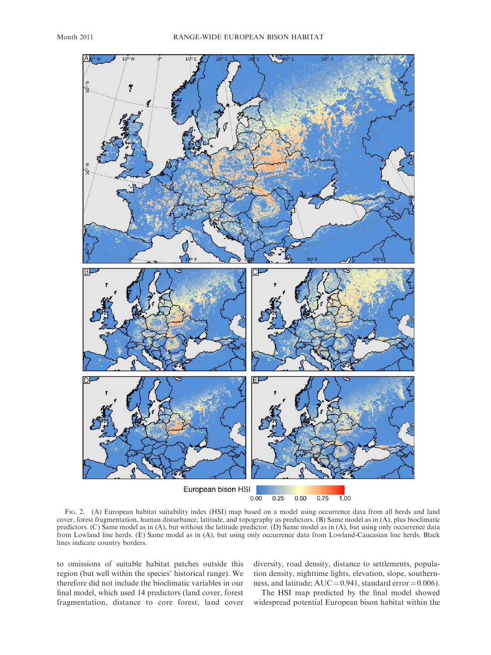

FIG. 2. (A) European habitat suitability index (HSI) map based on a model using occurrence data from all herds and land cover, forest fragmentation, human disturbance, latitude, and topography as predictors. (B) Same model as in (A), plus bioclimatic predictors. (C) Same model as in (A), but without the latitude predictor. (D) Same model as in (A), but using only occurrence data from Lowland line herds. (E) Same model as in (A), but using only occurrence data from Lowland-Caucasian line herds. Black lines indicate country borders.

to omissions of suitable habitat patches outside this region (but well within the species' historical range). We therefore did not include the bioclimatic variables in our final model, which used 14 predictors (land cover, forest fragmentation, distance to core forest, land cover diversity, road density, distance to settlements, population density, nighttime lights, elevation, slope, southernness, and latitude;  $AUC = 0.941$ , standard error  $= 0.006$ ).

The HSI map predicted by the final model showed widespread potential European bison habitat within the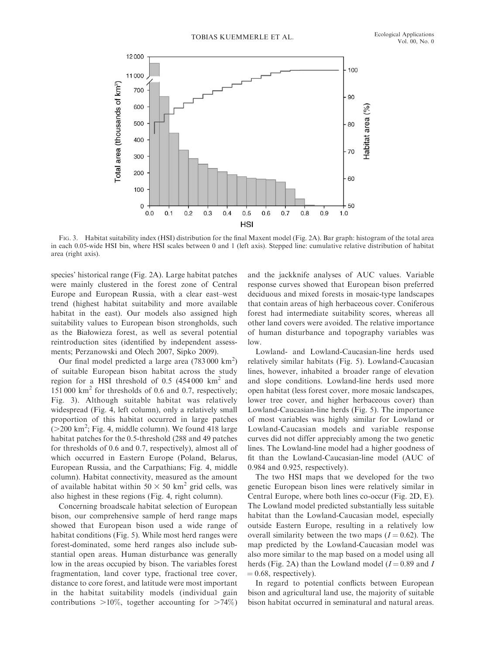

FIG. 3. Habitat suitability index (HSI) distribution for the final Maxent model (Fig. 2A). Bar graph: histogram of the total area in each 0.05-wide HSI bin, where HSI scales between 0 and 1 (left axis). Stepped line: cumulative relative distribution of habitat area (right axis).

species' historical range (Fig. 2A). Large habitat patches were mainly clustered in the forest zone of Central Europe and European Russia, with a clear east–west trend (highest habitat suitability and more available habitat in the east). Our models also assigned high suitability values to European bison strongholds, such as the Białowieza forest, as well as several potential reintroduction sites (identified by independent assessments; Perzanowski and Olech 2007, Sipko 2009).

Our final model predicted a large area  $(783\,000 \text{ km}^2)$ of suitable European bison habitat across the study region for a HSI threshold of  $0.5$  (454 000 km<sup>2</sup> and 151 000  $km^2$  for thresholds of 0.6 and 0.7, respectively; Fig. 3). Although suitable habitat was relatively widespread (Fig. 4, left column), only a relatively small proportion of this habitat occurred in large patches  $(>200 \text{ km}^2; \text{ Fig. 4, middle column}).$  We found 418 large habitat patches for the 0.5-threshold (288 and 49 patches for thresholds of 0.6 and 0.7, respectively), almost all of which occurred in Eastern Europe (Poland, Belarus, European Russia, and the Carpathians; Fig. 4, middle column). Habitat connectivity, measured as the amount of available habitat within  $50 \times 50$  km<sup>2</sup> grid cells, was also highest in these regions (Fig. 4, right column).

Concerning broadscale habitat selection of European bison, our comprehensive sample of herd range maps showed that European bison used a wide range of habitat conditions (Fig. 5). While most herd ranges were forest-dominated, some herd ranges also include substantial open areas. Human disturbance was generally low in the areas occupied by bison. The variables forest fragmentation, land cover type, fractional tree cover, distance to core forest, and latitude were most important in the habitat suitability models (individual gain contributions  $>10\%$ , together accounting for  $>74\%$ )

and the jackknife analyses of AUC values. Variable response curves showed that European bison preferred deciduous and mixed forests in mosaic-type landscapes that contain areas of high herbaceous cover. Coniferous forest had intermediate suitability scores, whereas all other land covers were avoided. The relative importance of human disturbance and topography variables was low.

Lowland- and Lowland-Caucasian-line herds used relatively similar habitats (Fig. 5). Lowland-Caucasian lines, however, inhabited a broader range of elevation and slope conditions. Lowland-line herds used more open habitat (less forest cover, more mosaic landscapes, lower tree cover, and higher herbaceous cover) than Lowland-Caucasian-line herds (Fig. 5). The importance of most variables was highly similar for Lowland or Lowland-Caucasian models and variable response curves did not differ appreciably among the two genetic lines. The Lowland-line model had a higher goodness of fit than the Lowland-Caucasian-line model (AUC of 0.984 and 0.925, respectively).

The two HSI maps that we developed for the two genetic European bison lines were relatively similar in Central Europe, where both lines co-occur (Fig. 2D, E). The Lowland model predicted substantially less suitable habitat than the Lowland-Caucasian model, especially outside Eastern Europe, resulting in a relatively low overall similarity between the two maps  $(I = 0.62)$ . The map predicted by the Lowland-Caucasian model was also more similar to the map based on a model using all herds (Fig. 2A) than the Lowland model  $(I = 0.89$  and I  $= 0.68$ , respectively).

In regard to potential conflicts between European bison and agricultural land use, the majority of suitable bison habitat occurred in seminatural and natural areas.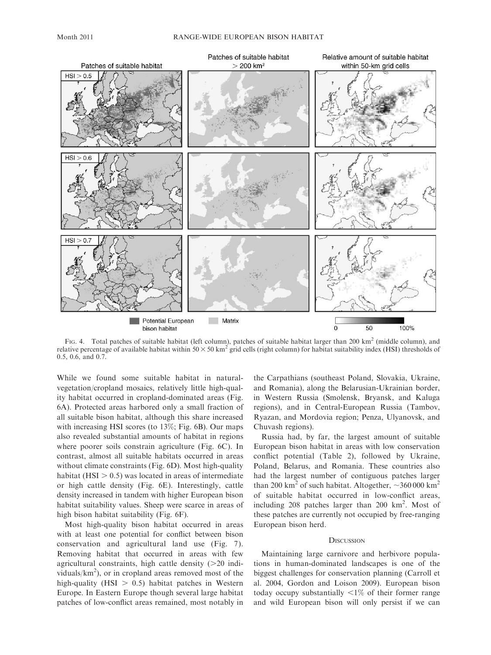

FIG. 4. Total patches of suitable habitat (left column), patches of suitable habitat larger than 200 km<sup>2</sup> (middle column), and relative percentage of available habitat within  $50 \times 50 \text{ km}^2$  grid cells (right column) for habitat suitability index (HSI) thresholds of 0.5, 0.6, and 0.7.

While we found some suitable habitat in naturalvegetation/cropland mosaics, relatively little high-quality habitat occurred in cropland-dominated areas (Fig. 6A). Protected areas harbored only a small fraction of all suitable bison habitat, although this share increased with increasing HSI scores (to 13%; Fig. 6B). Our maps also revealed substantial amounts of habitat in regions where poorer soils constrain agriculture (Fig. 6C). In contrast, almost all suitable habitats occurred in areas without climate constraints (Fig. 6D). Most high-quality habitat ( $\text{HSI} > 0.5$ ) was located in areas of intermediate or high cattle density (Fig. 6E). Interestingly, cattle density increased in tandem with higher European bison habitat suitability values. Sheep were scarce in areas of high bison habitat suitability (Fig. 6F).

Most high-quality bison habitat occurred in areas with at least one potential for conflict between bison conservation and agricultural land use (Fig. 7). Removing habitat that occurred in areas with few agricultural constraints, high cattle density  $(>=20$  individuals/ $km<sup>2</sup>$ ), or in cropland areas removed most of the high-quality ( $HSI > 0.5$ ) habitat patches in Western Europe. In Eastern Europe though several large habitat patches of low-conflict areas remained, most notably in the Carpathians (southeast Poland, Slovakia, Ukraine, and Romania), along the Belarusian-Ukrainian border, in Western Russia (Smolensk, Bryansk, and Kaluga regions), and in Central-European Russia (Tambov, Ryazan, and Mordovia region; Penza, Ulyanovsk, and Chuvash regions).

Russia had, by far, the largest amount of suitable European bison habitat in areas with low conservation conflict potential (Table 2), followed by Ukraine, Poland, Belarus, and Romania. These countries also had the largest number of contiguous patches larger than 200 km<sup>2</sup> of such habitat. Altogether,  $\sim$ 360 000 km<sup>2</sup> of suitable habitat occurred in low-conflict areas, including 208 patches larger than 200 km<sup>2</sup>. Most of these patches are currently not occupied by free-ranging European bison herd.

#### **DISCUSSION**

Maintaining large carnivore and herbivore populations in human-dominated landscapes is one of the biggest challenges for conservation planning (Carroll et al. 2004, Gordon and Loison 2009). European bison today occupy substantially  $\langle 1\% \rangle$  of their former range and wild European bison will only persist if we can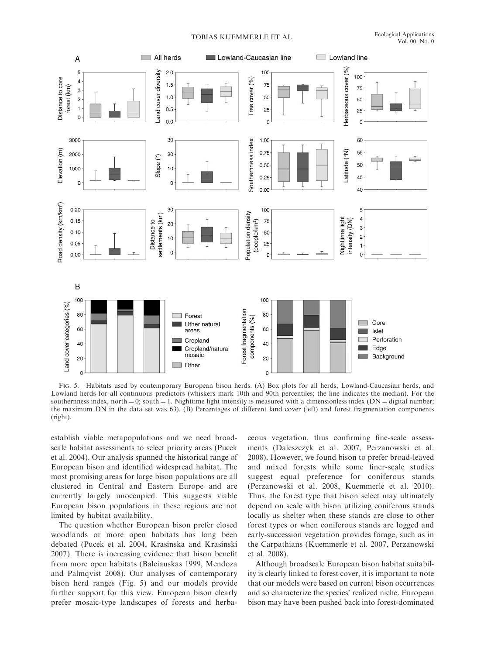# TOBIAS KUEMMERLE ET AL. Ecological Applications



FIG. 5. Habitats used by contemporary European bison herds. (A) Box plots for all herds, Lowland-Caucasian herds, and Lowland herds for all continuous predictors (whiskers mark 10th and 90th percentiles; the line indicates the median). For the southernness index, north = 0; south = 1. Nighttime light intensity is measured with a dimensionless index (DN = digital number; the maximum DN in the data set was 63). (B) Percentages of different land cover (left) and forest fragmentation components (right).

establish viable metapopulations and we need broadscale habitat assessments to select priority areas (Pucek et al. 2004). Our analysis spanned the historical range of European bison and identified widespread habitat. The most promising areas for large bison populations are all clustered in Central and Eastern Europe and are currently largely unoccupied. This suggests viable European bison populations in these regions are not limited by habitat availability.

The question whether European bison prefer closed woodlands or more open habitats has long been debated (Pucek et al. 2004, Krasinska and Krasinski 2007). There is increasing evidence that bison benefit from more open habitats (Balciauskas 1999, Mendoza and Palmqvist 2008). Our analyses of contemporary bison herd ranges (Fig. 5) and our models provide further support for this view. European bison clearly prefer mosaic-type landscapes of forests and herbaceous vegetation, thus confirming fine-scale assessments (Daleszczyk et al. 2007, Perzanowski et al. 2008). However, we found bison to prefer broad-leaved and mixed forests while some finer-scale studies suggest equal preference for coniferous stands (Perzanowski et al. 2008, Kuemmerle et al. 2010). Thus, the forest type that bison select may ultimately depend on scale with bison utilizing coniferous stands locally as shelter when these stands are close to other forest types or when coniferous stands are logged and early-succession vegetation provides forage, such as in the Carpathians (Kuemmerle et al. 2007, Perzanowski et al. 2008).

Although broadscale European bison habitat suitability is clearly linked to forest cover, it is important to note that our models were based on current bison occurrences and so characterize the species' realized niche. European bison may have been pushed back into forest-dominated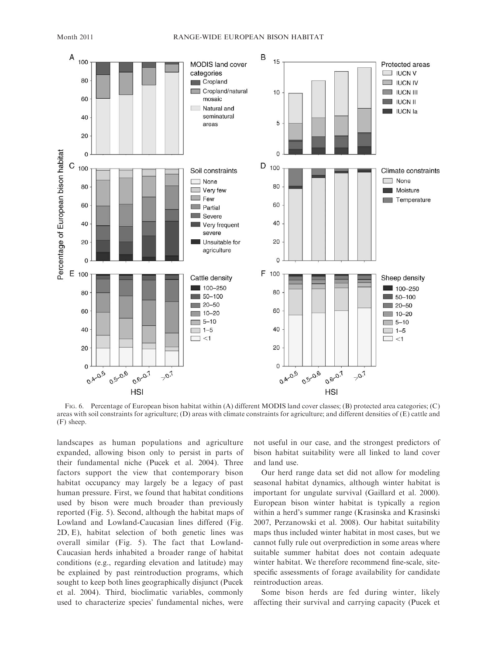

FIG. 6. Percentage of European bison habitat within (A) different MODIS land cover classes; (B) protected area categories; (C) areas with soil constraints for agriculture; (D) areas with climate constraints for agriculture; and different densities of  $(E)$  cattle and (F) sheep.

landscapes as human populations and agriculture expanded, allowing bison only to persist in parts of their fundamental niche (Pucek et al. 2004). Three factors support the view that contemporary bison habitat occupancy may largely be a legacy of past human pressure. First, we found that habitat conditions used by bison were much broader than previously reported (Fig. 5). Second, although the habitat maps of Lowland and Lowland-Caucasian lines differed (Fig. 2D, E), habitat selection of both genetic lines was overall similar (Fig. 5). The fact that Lowland-Caucasian herds inhabited a broader range of habitat conditions (e.g., regarding elevation and latitude) may be explained by past reintroduction programs, which sought to keep both lines geographically disjunct (Pucek et al. 2004). Third, bioclimatic variables, commonly used to characterize species' fundamental niches, were not useful in our case, and the strongest predictors of bison habitat suitability were all linked to land cover and land use.

Our herd range data set did not allow for modeling seasonal habitat dynamics, although winter habitat is important for ungulate survival (Gaillard et al. 2000). European bison winter habitat is typically a region within a herd's summer range (Krasinska and Krasinski 2007, Perzanowski et al. 2008). Our habitat suitability maps thus included winter habitat in most cases, but we cannot fully rule out overprediction in some areas where suitable summer habitat does not contain adequate winter habitat. We therefore recommend fine-scale, sitespecific assessments of forage availability for candidate reintroduction areas.

Some bison herds are fed during winter, likely affecting their survival and carrying capacity (Pucek et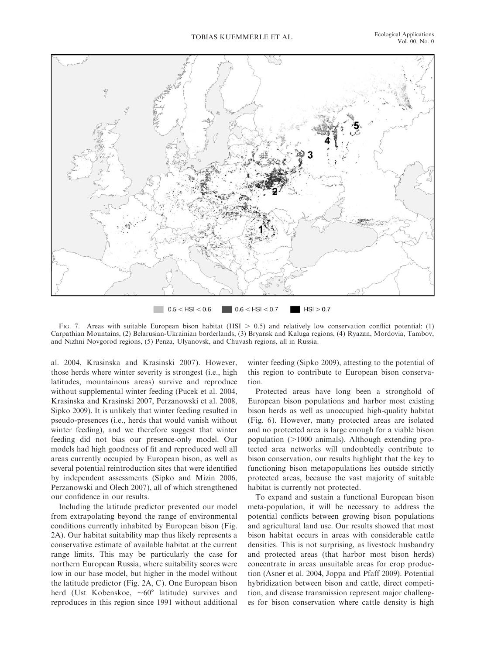

FIG. 7. Areas with suitable European bison habitat (HSI  $> 0.5$ ) and relatively low conservation conflict potential: (1) Carpathian Mountains, (2) Belarusian-Ukrainian borderlands, (3) Bryansk and Kaluga regions, (4) Ryazan, Mordovia, Tambov, and Nizhni Novgorod regions, (5) Penza, Ulyanovsk, and Chuvash regions, all in Russia.

al. 2004, Krasinska and Krasinski 2007). However, those herds where winter severity is strongest (i.e., high latitudes, mountainous areas) survive and reproduce without supplemental winter feeding (Pucek et al. 2004, Krasinska and Krasinski 2007, Perzanowski et al. 2008, Sipko 2009). It is unlikely that winter feeding resulted in pseudo-presences (i.e., herds that would vanish without winter feeding), and we therefore suggest that winter feeding did not bias our presence-only model. Our models had high goodness of fit and reproduced well all areas currently occupied by European bison, as well as several potential reintroduction sites that were identified by independent assessments (Sipko and Mizin 2006, Perzanowski and Olech 2007), all of which strengthened our confidence in our results.

Including the latitude predictor prevented our model from extrapolating beyond the range of environmental conditions currently inhabited by European bison (Fig. 2A). Our habitat suitability map thus likely represents a conservative estimate of available habitat at the current range limits. This may be particularly the case for northern European Russia, where suitability scores were low in our base model, but higher in the model without the latitude predictor (Fig. 2A, C). One European bison herd (Ust Kobenskoe,  $\sim 60^\circ$  latitude) survives and reproduces in this region since 1991 without additional winter feeding (Sipko 2009), attesting to the potential of this region to contribute to European bison conservation.

Protected areas have long been a stronghold of European bison populations and harbor most existing bison herds as well as unoccupied high-quality habitat (Fig. 6). However, many protected areas are isolated and no protected area is large enough for a viable bison population  $(>1000$  animals). Although extending protected area networks will undoubtedly contribute to bison conservation, our results highlight that the key to functioning bison metapopulations lies outside strictly protected areas, because the vast majority of suitable habitat is currently not protected.

To expand and sustain a functional European bison meta-population, it will be necessary to address the potential conflicts between growing bison populations and agricultural land use. Our results showed that most bison habitat occurs in areas with considerable cattle densities. This is not surprising, as livestock husbandry and protected areas (that harbor most bison herds) concentrate in areas unsuitable areas for crop production (Asner et al. 2004, Joppa and Pfaff 2009). Potential hybridization between bison and cattle, direct competition, and disease transmission represent major challenges for bison conservation where cattle density is high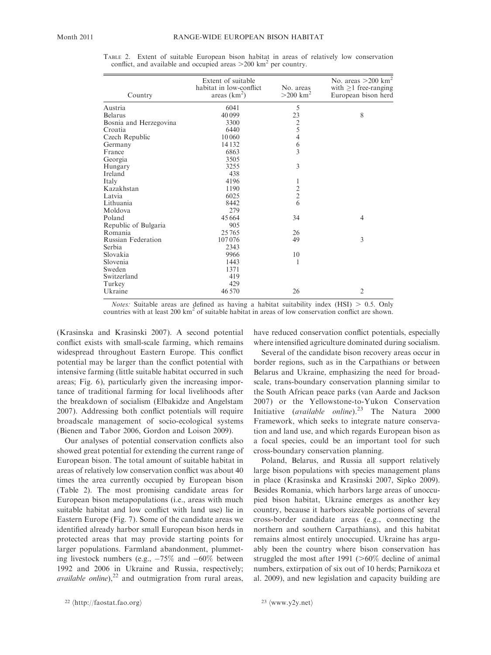| Country                | Extent of suitable<br>habitat in low-conflict<br>areas $(km^2)$ | No. areas<br>$>200$ km <sup>2</sup>        | No. areas $>$ 200 $km2$<br>with $\geq$ 1 free-ranging<br>European bison herd |
|------------------------|-----------------------------------------------------------------|--------------------------------------------|------------------------------------------------------------------------------|
| Austria                | 6041                                                            | 5                                          |                                                                              |
| Belarus                | 40 0 99                                                         | 23                                         | 8                                                                            |
| Bosnia and Herzegovina | 3300                                                            |                                            |                                                                              |
| Croatia                | 6440                                                            | $rac{2}{5}$                                |                                                                              |
| Czech Republic         | 10 060                                                          | $\overline{4}$                             |                                                                              |
| Germany                | 14132                                                           | 6                                          |                                                                              |
| France                 | 6863                                                            | 3                                          |                                                                              |
| Georgia                | 3505                                                            |                                            |                                                                              |
| Hungary                | 3255                                                            | 3                                          |                                                                              |
| Ireland                | 438                                                             |                                            |                                                                              |
| Italy                  | 4196                                                            | 1                                          |                                                                              |
| Kazakhstan             | 1190                                                            |                                            |                                                                              |
| Latvia                 | 6025                                                            | $\begin{array}{c} 2 \\ 2 \\ 6 \end{array}$ |                                                                              |
| Lithuania              | 8442                                                            |                                            |                                                                              |
| Moldova                | 279                                                             |                                            |                                                                              |
| Poland                 | 45 6 64                                                         | 34                                         | $\overline{4}$                                                               |
| Republic of Bulgaria   | 905                                                             |                                            |                                                                              |
| Romania                | 25765                                                           | 26                                         |                                                                              |
| Russian Federation     | 107076                                                          | 49                                         | 3                                                                            |
| Serbia                 | 2343                                                            |                                            |                                                                              |
| Slovakia               | 9966                                                            | 10                                         |                                                                              |
| Slovenia               | 1443                                                            | 1                                          |                                                                              |
| Sweden                 | 1371                                                            |                                            |                                                                              |
| Switzerland            | 419                                                             |                                            |                                                                              |
| Turkey                 | 429                                                             |                                            |                                                                              |
| Ukraine                | 46 570                                                          | 26                                         | $\overline{2}$                                                               |
|                        |                                                                 |                                            |                                                                              |

TABLE 2. Extent of suitable European bison habitat in areas of relatively low conservation conflict, and available and occupied areas  $>200$  km<sup>2</sup> per country.

*Notes:* Suitable areas are defined as having a habitat suitability index (HSI)  $> 0.5$ . Only countries with at least 200 km<sup>2</sup> of suitable habitat in areas of low conservation conflict are shown.

(Krasinska and Krasinski 2007). A second potential conflict exists with small-scale farming, which remains widespread throughout Eastern Europe. This conflict potential may be larger than the conflict potential with intensive farming (little suitable habitat occurred in such areas; Fig. 6), particularly given the increasing importance of traditional farming for local livelihoods after the breakdown of socialism (Elbakidze and Angelstam 2007). Addressing both conflict potentials will require broadscale management of socio-ecological systems (Bienen and Tabor 2006, Gordon and Loison 2009).

Our analyses of potential conservation conflicts also showed great potential for extending the current range of European bison. The total amount of suitable habitat in areas of relatively low conservation conflict was about 40 times the area currently occupied by European bison (Table 2). The most promising candidate areas for European bison metapopulations (i.e., areas with much suitable habitat and low conflict with land use) lie in Eastern Europe (Fig. 7). Some of the candidate areas we identified already harbor small European bison herds in protected areas that may provide starting points for larger populations. Farmland abandonment, plummeting livestock numbers (e.g.,  $-75\%$  and  $-60\%$  between 1992 and 2006 in Ukraine and Russia, respectively; *available online*), $^{22}$  and outmigration from rural areas, have reduced conservation conflict potentials, especially where intensified agriculture dominated during socialism.

Several of the candidate bison recovery areas occur in border regions, such as in the Carpathians or between Belarus and Ukraine, emphasizing the need for broadscale, trans-boundary conservation planning similar to the South African peace parks (van Aarde and Jackson 2007) or the Yellowstone-to-Yukon Conservation Initiative (available online).<sup>23</sup> The Natura 2000 Framework, which seeks to integrate nature conservation and land use, and which regards European bison as a focal species, could be an important tool for such cross-boundary conservation planning.

Poland, Belarus, and Russia all support relatively large bison populations with species management plans in place (Krasinska and Krasinski 2007, Sipko 2009). Besides Romania, which harbors large areas of unoccupied bison habitat, Ukraine emerges as another key country, because it harbors sizeable portions of several cross-border candidate areas (e.g., connecting the northern and southern Carpathians), and this habitat remains almost entirely unoccupied. Ukraine has arguably been the country where bison conservation has struggled the most after 1991 ( $>60\%$  decline of animal numbers, extirpation of six out of 10 herds; Parnikoza et al. 2009), and new legislation and capacity building are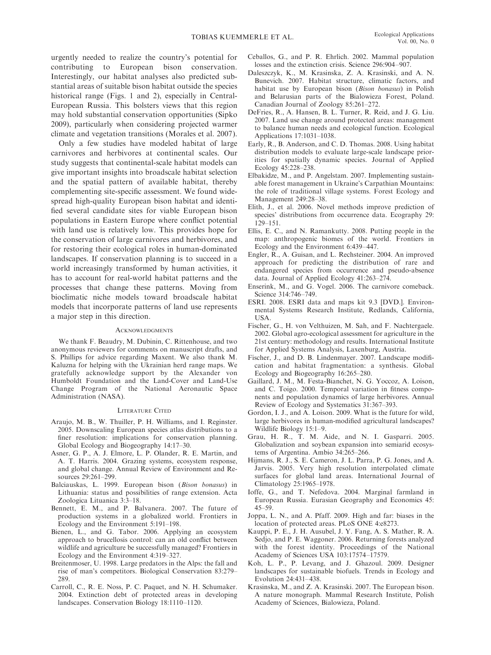urgently needed to realize the country's potential for contributing to European bison conservation. Interestingly, our habitat analyses also predicted substantial areas of suitable bison habitat outside the species historical range (Figs. 1 and 2), especially in Central-European Russia. This bolsters views that this region may hold substantial conservation opportunities (Sipko 2009), particularly when considering projected warmer climate and vegetation transitions (Morales et al. 2007).

Only a few studies have modeled habitat of large carnivores and herbivores at continental scales. Our study suggests that continental-scale habitat models can give important insights into broadscale habitat selection and the spatial pattern of available habitat, thereby complementing site-specific assessment. We found widespread high-quality European bison habitat and identified several candidate sites for viable European bison populations in Eastern Europe where conflict potential with land use is relatively low. This provides hope for the conservation of large carnivores and herbivores, and for restoring their ecological roles in human-dominated landscapes. If conservation planning is to succeed in a world increasingly transformed by human activities, it has to account for real-world habitat patterns and the processes that change these patterns. Moving from bioclimatic niche models toward broadscale habitat models that incorporate patterns of land use represents a major step in this direction.

#### **ACKNOWLEDGMENTS**

We thank F. Beaudry, M. Dubinin, C. Rittenhouse, and two anonymous reviewers for comments on manuscript drafts, and S. Phillips for advice regarding Maxent. We also thank M. Kaluzna for helping with the Ukrainian herd range maps. We gratefully acknowledge support by the Alexander von Humboldt Foundation and the Land-Cover and Land-Use Change Program of the National Aeronautic Space Administration (NASA).

#### LITERATURE CITED

- Araujo, M. B., W. Thuiller, P. H. Williams, and I. Reginster. 2005. Downscaling European species atlas distributions to a finer resolution: implications for conservation planning. Global Ecology and Biogeography 14:17–30.
- Asner, G. P., A. J. Elmore, L. P. Olander, R. E. Martin, and A. T. Harris. 2004. Grazing systems, ecosystem response, and global change. Annual Review of Environment and Resources 29:261–299.
- Balciauskas, L. 1999. European bison (Bison bonasus) in Lithuania: status and possibilities of range extension. Acta Zoologica Lituanica 3:3–18.
- Bennett, E. M., and P. Balvanera. 2007. The future of production systems in a globalized world. Frontiers in Ecology and the Environment 5:191–198.
- Bienen, L., and G. Tabor. 2006. Applying an ecosystem approach to brucellosis control: can an old conflict between wildlife and agriculture be successfully managed? Frontiers in Ecology and the Environment 4:319–327.
- Breitenmoser, U. 1998. Large predators in the Alps: the fall and rise of man's competitors. Biological Conservation 83:279– 289.
- Carroll, C., R. E. Noss, P. C. Paquet, and N. H. Schumaker. 2004. Extinction debt of protected areas in developing landscapes. Conservation Biology 18:1110–1120.
- Ceballos, G., and P. R. Ehrlich. 2002. Mammal population losses and the extinction crisis. Science 296:904-907.
- Daleszczyk, K., M. Krasinska, Z. A. Krasinski, and A. N. Bunevich. 2007. Habitat structure, climatic factors, and habitat use by European bison (Bison bonasus) in Polish and Belarusian parts of the Bialowieza Forest, Poland. Canadian Journal of Zoology 85:261–272.
- DeFries, R., A. Hansen, B. L. Turner, R. Reid, and J. G. Liu. 2007. Land use change around protected areas: management to balance human needs and ecological function. Ecological Applications 17:1031–1038.
- Early, R., B. Anderson, and C. D. Thomas. 2008. Using habitat distribution models to evaluate large-scale landscape priorities for spatially dynamic species. Journal of Applied Ecology 45:228–238.
- Elbakidze, M., and P. Angelstam. 2007. Implementing sustainable forest management in Ukraine's Carpathian Mountains: the role of traditional village systems. Forest Ecology and Management 249:28–38.
- Elith, J., et al. 2006. Novel methods improve prediction of species' distributions from occurrence data. Ecography 29: 129–151.
- Ellis, E. C., and N. Ramankutty. 2008. Putting people in the map: anthropogenic biomes of the world. Frontiers in Ecology and the Environment 6:439–447.
- Engler, R., A. Guisan, and L. Rechsteiner. 2004. An improved approach for predicting the distribution of rare and endangered species from occurrence and pseudo-absence data. Journal of Applied Ecology 41:263–274.
- Enserink, M., and G. Vogel. 2006. The carnivore comeback. Science 314:746–749.
- ESRI. 2008. ESRI data and maps kit 9.3 [DVD.]. Environmental Systems Research Institute, Redlands, California, USA.
- Fischer, G., H. von Velthuizen, M. Sah, and F. Nachtergaele. 2002. Global agro-ecological assessment for agriculture in the 21st century: methodology and results. International Institute for Applied Systems Analysis, Laxenburg, Austria.
- Fischer, J., and D. B. Lindenmayer. 2007. Landscape modification and habitat fragmentation: a synthesis. Global Ecology and Biogeography 16:265–280.
- Gaillard, J. M., M. Festa-Bianchet, N. G. Yoccoz, A. Loison, and C. Toigo. 2000. Temporal variation in fitness components and population dynamics of large herbivores. Annual Review of Ecology and Systematics 31:367–393.
- Gordon, I. J., and A. Loison. 2009. What is the future for wild, large herbivores in human-modified agricultural landscapes? Wildlife Biology 15:1–9.
- Grau, H. R., T. M. Aide, and N. I. Gasparri. 2005. Globalization and soybean expansion into semiarid ecosystems of Argentina. Ambio 34:265–266.
- Hijmans, R. J., S. E. Cameron, J. L. Parra, P. G. Jones, and A. Jarvis. 2005. Very high resolution interpolated climate surfaces for global land areas. International Journal of Climatology 25:1965–1978.
- Ioffe, G., and T. Nefedova. 2004. Marginal farmland in European Russia. Eurasian Geography and Economics 45: 45–59.
- Joppa, L. N., and A. Pfaff. 2009. High and far: biases in the location of protected areas. PLoS ONE 4:e8273.
- Kauppi, P. E., J. H. Ausubel, J. Y. Fang, A. S. Mather, R. A. Sedjo, and P. E. Waggoner. 2006. Returning forests analyzed with the forest identity. Proceedings of the National Academy of Sciences USA 103:17574–17579.
- Koh, L. P., P. Levang, and J. Ghazoul. 2009. Designer landscapes for sustainable biofuels. Trends in Ecology and Evolution 24:431–438.
- Krasinska, M., and Z. A. Krasinski. 2007. The European bison. A nature monograph. Mammal Research Institute, Polish Academy of Sciences, Bialowieza, Poland.